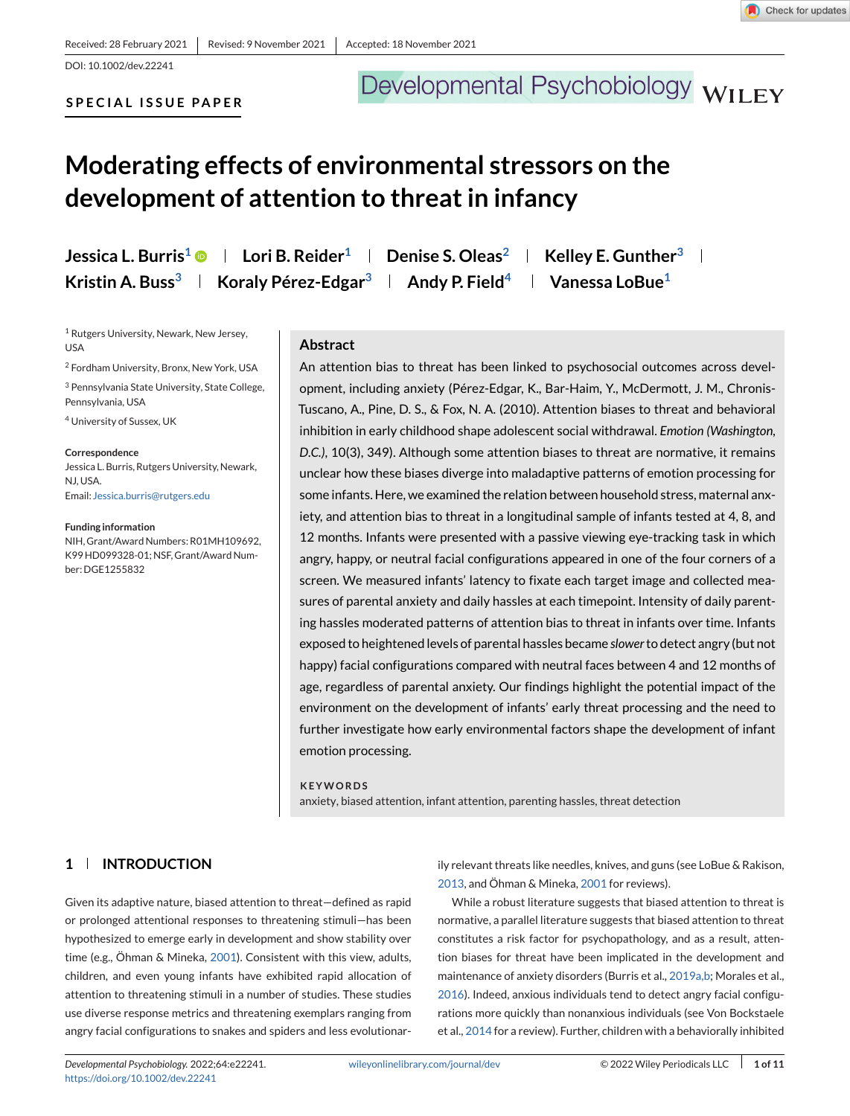#### **SPECIAL ISSUE PAPER**

# Developmental Psychobiology WILEY

## **Moderating effects of environmental stressors on the development of attention to threat in infancy**

**Jessica L. Burris<sup>1</sup>**  $\bullet$  **| Lori B. Reider<sup>1</sup> | Denise S. Oleas<sup>2</sup> | Kelley E. Gunther<sup>3</sup> | Kristin A. Buss<sup>3</sup> | Koraly Pérez-Edgar<sup>3</sup> | Andy P. Field<sup>4</sup> | Vanessa LoBue<sup>1</sup>** 

<sup>1</sup> Rutgers University, Newark, New Jersey, USA

<sup>2</sup> Fordham University, Bronx, New York, USA

<sup>3</sup> Pennsylvania State University, State College, Pennsylvania, USA

<sup>4</sup> University of Sussex, UK

**Correspondence** Jessica L. Burris, Rutgers University, Newark, NJ, USA. Email: [Jessica.burris@rutgers.edu](mailto:Jessica.burris@rutgers.edu)

**Funding information** NIH, Grant/Award Numbers: R01MH109692, K99 HD099328-01; NSF, Grant/Award Number: DGE1255832

#### **Abstract**

An attention bias to threat has been linked to psychosocial outcomes across development, including anxiety (Pérez-Edgar, K., Bar-Haim, Y., McDermott, J. M., Chronis-Tuscano, A., Pine, D. S., & Fox, N. A. (2010). Attention biases to threat and behavioral inhibition in early childhood shape adolescent social withdrawal. *Emotion (Washington, D.C.)*, 10(3), 349). Although some attention biases to threat are normative, it remains unclear how these biases diverge into maladaptive patterns of emotion processing for some infants. Here, we examined the relation between household stress, maternal anxiety, and attention bias to threat in a longitudinal sample of infants tested at 4, 8, and 12 months. Infants were presented with a passive viewing eye-tracking task in which angry, happy, or neutral facial configurations appeared in one of the four corners of a screen. We measured infants' latency to fixate each target image and collected measures of parental anxiety and daily hassles at each timepoint. Intensity of daily parenting hassles moderated patterns of attention bias to threat in infants over time. Infants exposed to heightened levels of parental hassles became *slower*to detect angry (but not happy) facial configurations compared with neutral faces between 4 and 12 months of age, regardless of parental anxiety. Our findings highlight the potential impact of the environment on the development of infants' early threat processing and the need to further investigate how early environmental factors shape the development of infant emotion processing.

#### **KEYWORDS**

anxiety, biased attention, infant attention, parenting hassles, threat detection

## **1 INTRODUCTION**

Given its adaptive nature, biased attention to threat—defined as rapid or prolonged attentional responses to threatening stimuli—has been hypothesized to emerge early in development and show stability over time (e.g., Öhman & Mineka, [2001\)](#page-9-0). Consistent with this view, adults, children, and even young infants have exhibited rapid allocation of attention to threatening stimuli in a number of studies. These studies use diverse response metrics and threatening exemplars ranging from angry facial configurations to snakes and spiders and less evolutionarily relevant threats like needles, knives, and guns (see LoBue & Rakison, [2013,](#page-9-0) and Öhman & Mineka, [2001](#page-9-0) for reviews).

While a robust literature suggests that biased attention to threat is normative, a parallel literature suggests that biased attention to threat constitutes a risk factor for psychopathology, and as a result, attention biases for threat have been implicated in the development and maintenance of anxiety disorders (Burris et al., [2019a,b;](#page-8-0) Morales et al., [2016\)](#page-9-0). Indeed, anxious individuals tend to detect angry facial configurations more quickly than nonanxious individuals (see Von Bockstaele et al., [2014](#page-10-0) for a review). Further, children with a behaviorally inhibited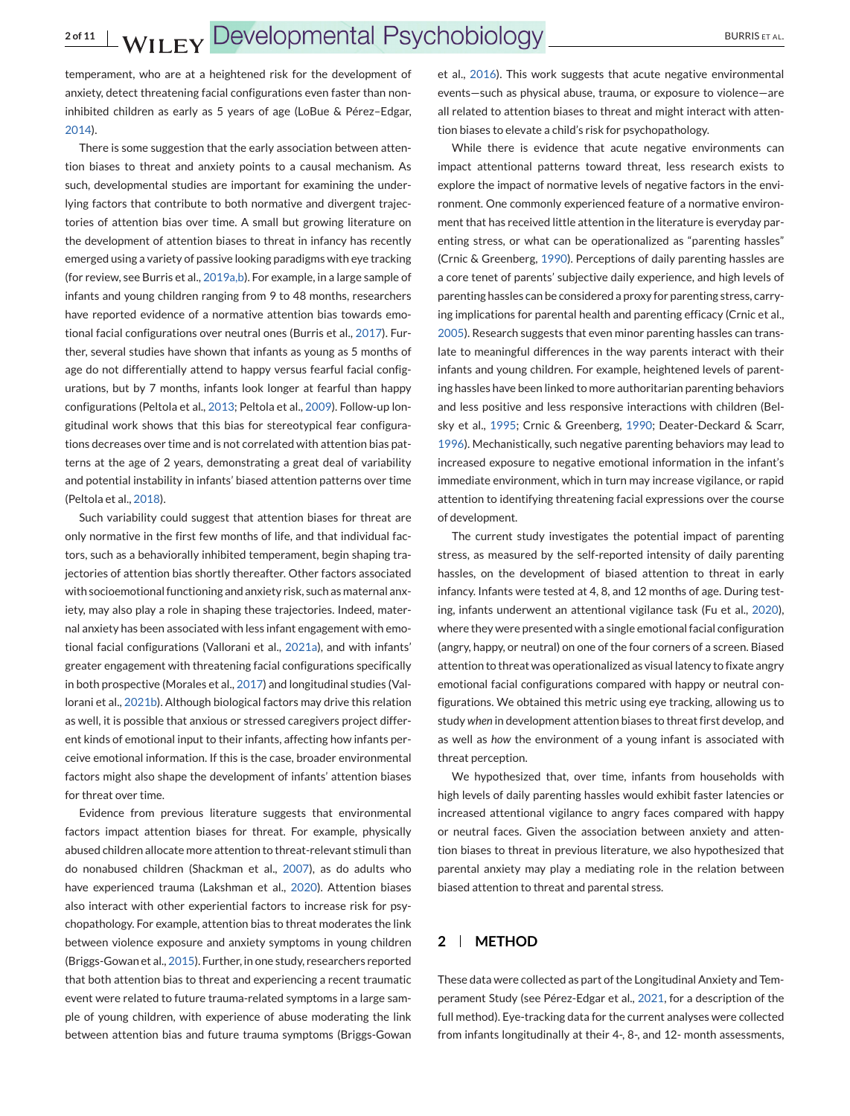temperament, who are at a heightened risk for the development of anxiety, detect threatening facial configurations even faster than noninhibited children as early as 5 years of age (LoBue & Pérez–Edgar, [2014\)](#page-9-0).

There is some suggestion that the early association between attention biases to threat and anxiety points to a causal mechanism. As such, developmental studies are important for examining the underlying factors that contribute to both normative and divergent trajectories of attention bias over time. A small but growing literature on the development of attention biases to threat in infancy has recently emerged using a variety of passive looking paradigms with eye tracking (for review, see Burris et al., [2019a,b\)](#page-8-0). For example, in a large sample of infants and young children ranging from 9 to 48 months, researchers have reported evidence of a normative attention bias towards emotional facial configurations over neutral ones (Burris et al., [2017\)](#page-8-0). Further, several studies have shown that infants as young as 5 months of age do not differentially attend to happy versus fearful facial configurations, but by 7 months, infants look longer at fearful than happy configurations (Peltola et al., [2013;](#page-9-0) Peltola et al., [2009\)](#page-9-0). Follow-up longitudinal work shows that this bias for stereotypical fear configurations decreases over time and is not correlated with attention bias patterns at the age of 2 years, demonstrating a great deal of variability and potential instability in infants' biased attention patterns over time (Peltola et al., [2018\)](#page-9-0).

Such variability could suggest that attention biases for threat are only normative in the first few months of life, and that individual factors, such as a behaviorally inhibited temperament, begin shaping trajectories of attention bias shortly thereafter. Other factors associated with socioemotional functioning and anxiety risk, such as maternal anxiety, may also play a role in shaping these trajectories. Indeed, maternal anxiety has been associated with less infant engagement with emotional facial configurations (Vallorani et al., [2021a\)](#page-10-0), and with infants' greater engagement with threatening facial configurations specifically in both prospective (Morales et al., [2017\)](#page-9-0) and longitudinal studies (Vallorani et al., [2021b\)](#page-10-0). Although biological factors may drive this relation as well, it is possible that anxious or stressed caregivers project different kinds of emotional input to their infants, affecting how infants perceive emotional information. If this is the case, broader environmental factors might also shape the development of infants' attention biases for threat over time.

Evidence from previous literature suggests that environmental factors impact attention biases for threat. For example, physically abused children allocate more attention to threat-relevant stimuli than do nonabused children (Shackman et al., [2007\)](#page-9-0), as do adults who have experienced trauma (Lakshman et al., [2020\)](#page-9-0). Attention biases also interact with other experiential factors to increase risk for psychopathology. For example, attention bias to threat moderates the link between violence exposure and anxiety symptoms in young children (Briggs-Gowan et al., [2015\)](#page-8-0). Further, in one study, researchers reported that both attention bias to threat and experiencing a recent traumatic event were related to future trauma-related symptoms in a large sample of young children, with experience of abuse moderating the link between attention bias and future trauma symptoms (Briggs-Gowan

et al., [2016\)](#page-8-0). This work suggests that acute negative environmental events—such as physical abuse, trauma, or exposure to violence—are all related to attention biases to threat and might interact with attention biases to elevate a child's risk for psychopathology.

While there is evidence that acute negative environments can impact attentional patterns toward threat, less research exists to explore the impact of normative levels of negative factors in the environment. One commonly experienced feature of a normative environment that has received little attention in the literature is everyday parenting stress, or what can be operationalized as "parenting hassles" (Crnic & Greenberg, [1990\)](#page-9-0). Perceptions of daily parenting hassles are a core tenet of parents' subjective daily experience, and high levels of parenting hassles can be considered a proxy for parenting stress, carrying implications for parental health and parenting efficacy (Crnic et al., [2005\)](#page-9-0). Research suggests that even minor parenting hassles can translate to meaningful differences in the way parents interact with their infants and young children. For example, heightened levels of parenting hassles have been linked to more authoritarian parenting behaviors and less positive and less responsive interactions with children (Belsky et al., [1995;](#page-8-0) Crnic & Greenberg, [1990;](#page-9-0) Deater-Deckard & Scarr, [1996\)](#page-9-0). Mechanistically, such negative parenting behaviors may lead to increased exposure to negative emotional information in the infant's immediate environment, which in turn may increase vigilance, or rapid attention to identifying threatening facial expressions over the course of development.

The current study investigates the potential impact of parenting stress, as measured by the self-reported intensity of daily parenting hassles, on the development of biased attention to threat in early infancy. Infants were tested at 4, 8, and 12 months of age. During testing, infants underwent an attentional vigilance task (Fu et al., [2020\)](#page-9-0), where they were presented with a single emotional facial configuration (angry, happy, or neutral) on one of the four corners of a screen. Biased attention to threat was operationalized as visual latency to fixate angry emotional facial configurations compared with happy or neutral configurations. We obtained this metric using eye tracking, allowing us to study *when* in development attention biases to threat first develop, and as well as *how* the environment of a young infant is associated with threat perception.

We hypothesized that, over time, infants from households with high levels of daily parenting hassles would exhibit faster latencies or increased attentional vigilance to angry faces compared with happy or neutral faces. Given the association between anxiety and attention biases to threat in previous literature, we also hypothesized that parental anxiety may play a mediating role in the relation between biased attention to threat and parental stress.

## **2 METHOD**

These data were collected as part of the Longitudinal Anxiety and Temperament Study (see Pérez-Edgar et al., [2021,](#page-9-0) for a description of the full method). Eye-tracking data for the current analyses were collected from infants longitudinally at their 4-, 8-, and 12- month assessments,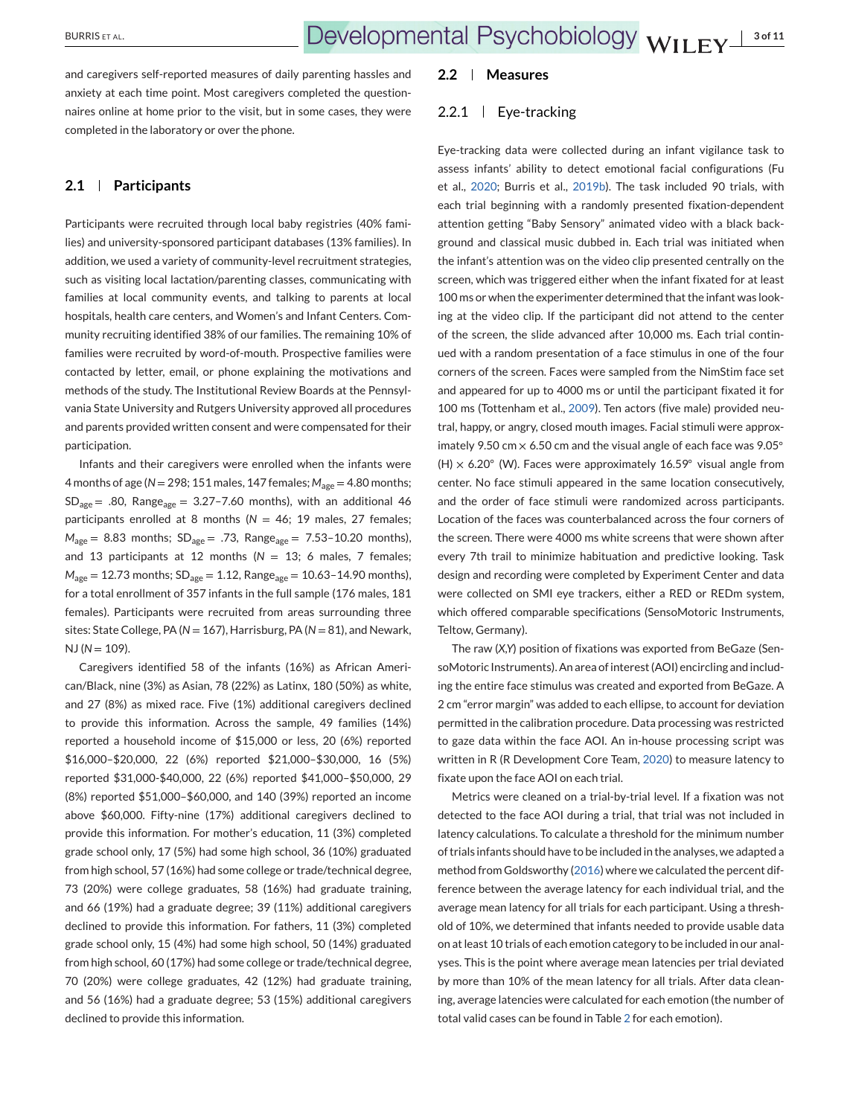and caregivers self-reported measures of daily parenting hassles and anxiety at each time point. Most caregivers completed the questionnaires online at home prior to the visit, but in some cases, they were completed in the laboratory or over the phone.

## **2.1 Participants**

Participants were recruited through local baby registries (40% families) and university-sponsored participant databases (13% families). In addition, we used a variety of community-level recruitment strategies, such as visiting local lactation/parenting classes, communicating with families at local community events, and talking to parents at local hospitals, health care centers, and Women's and Infant Centers. Community recruiting identified 38% of our families. The remaining 10% of families were recruited by word-of-mouth. Prospective families were contacted by letter, email, or phone explaining the motivations and methods of the study. The Institutional Review Boards at the Pennsylvania State University and Rutgers University approved all procedures and parents provided written consent and were compensated for their participation.

Infants and their caregivers were enrolled when the infants were 4 months of age (*N* = 298; 151 males, 147 females;  $M_{\text{age}} = 4.80$  months;  $SD<sub>age</sub> = .80$ , Range<sub>age</sub> = 3.27-7.60 months), with an additional 46 participants enrolled at 8 months (*N* = 46; 19 males, 27 females;  $M_{\text{age}} = 8.83$  months;  $SD_{\text{age}} = .73$ , Range<sub>age</sub> = 7.53-10.20 months), and 13 participants at 12 months (*N* = 13; 6 males, 7 females;  $M_{\text{age}} = 12.73$  months;  $SD_{\text{age}} = 1.12$ , Range<sub>age</sub> = 10.63-14.90 months), for a total enrollment of 357 infants in the full sample (176 males, 181 females). Participants were recruited from areas surrounding three sites: State College, PA (*N* = 167), Harrisburg, PA (*N* = 81), and Newark, NJ (*N* = 109).

Caregivers identified 58 of the infants (16%) as African American/Black, nine (3%) as Asian, 78 (22%) as Latinx, 180 (50%) as white, and 27 (8%) as mixed race. Five (1%) additional caregivers declined to provide this information. Across the sample, 49 families (14%) reported a household income of \$15,000 or less, 20 (6%) reported \$16,000–\$20,000, 22 (6%) reported \$21,000–\$30,000, 16 (5%) reported \$31,000-\$40,000, 22 (6%) reported \$41,000–\$50,000, 29 (8%) reported \$51,000–\$60,000, and 140 (39%) reported an income above \$60,000. Fifty-nine (17%) additional caregivers declined to provide this information. For mother's education, 11 (3%) completed grade school only, 17 (5%) had some high school, 36 (10%) graduated from high school, 57 (16%) had some college or trade/technical degree, 73 (20%) were college graduates, 58 (16%) had graduate training, and 66 (19%) had a graduate degree; 39 (11%) additional caregivers declined to provide this information. For fathers, 11 (3%) completed grade school only, 15 (4%) had some high school, 50 (14%) graduated from high school, 60 (17%) had some college or trade/technical degree, 70 (20%) were college graduates, 42 (12%) had graduate training, and 56 (16%) had a graduate degree; 53 (15%) additional caregivers declined to provide this information.

#### **2.2 Measures**

#### 2.2.1 | Eye-tracking

Eye-tracking data were collected during an infant vigilance task to assess infants' ability to detect emotional facial configurations (Fu et al., [2020;](#page-9-0) Burris et al., [2019b\)](#page-8-0). The task included 90 trials, with each trial beginning with a randomly presented fixation-dependent attention getting "Baby Sensory" animated video with a black background and classical music dubbed in. Each trial was initiated when the infant's attention was on the video clip presented centrally on the screen, which was triggered either when the infant fixated for at least 100 ms or when the experimenter determined that the infant was looking at the video clip. If the participant did not attend to the center of the screen, the slide advanced after 10,000 ms. Each trial continued with a random presentation of a face stimulus in one of the four corners of the screen. Faces were sampled from the NimStim face set and appeared for up to 4000 ms or until the participant fixated it for 100 ms (Tottenham et al., [2009\)](#page-9-0). Ten actors (five male) provided neutral, happy, or angry, closed mouth images. Facial stimuli were approximately 9.50 cm  $\times$  6.50 cm and the visual angle of each face was 9.05 $^{\circ}$ (H) × 6.20◦ (W). Faces were approximately 16.59◦ visual angle from center. No face stimuli appeared in the same location consecutively, and the order of face stimuli were randomized across participants. Location of the faces was counterbalanced across the four corners of the screen. There were 4000 ms white screens that were shown after every 7th trail to minimize habituation and predictive looking. Task design and recording were completed by Experiment Center and data were collected on SMI eye trackers, either a RED or REDm system, which offered comparable specifications (SensoMotoric Instruments, Teltow, Germany).

The raw (*X,Y*) position of fixations was exported from BeGaze (SensoMotoric Instruments). An area of interest (AOI) encircling and including the entire face stimulus was created and exported from BeGaze. A 2 cm "error margin" was added to each ellipse, to account for deviation permitted in the calibration procedure. Data processing was restricted to gaze data within the face AOI. An in-house processing script was written in R (R Development Core Team, [2020\)](#page-9-0) to measure latency to fixate upon the face AOI on each trial.

Metrics were cleaned on a trial-by-trial level. If a fixation was not detected to the face AOI during a trial, that trial was not included in latency calculations. To calculate a threshold for the minimum number of trials infants should have to be included in the analyses, we adapted a method from Goldsworthy [\(2016\)](#page-9-0) where we calculated the percent difference between the average latency for each individual trial, and the average mean latency for all trials for each participant. Using a threshold of 10%, we determined that infants needed to provide usable data on at least 10 trials of each emotion category to be included in our analyses. This is the point where average mean latencies per trial deviated by more than 10% of the mean latency for all trials. After data cleaning, average latencies were calculated for each emotion (the number of total valid cases can be found in Table [2](#page-4-0) for each emotion).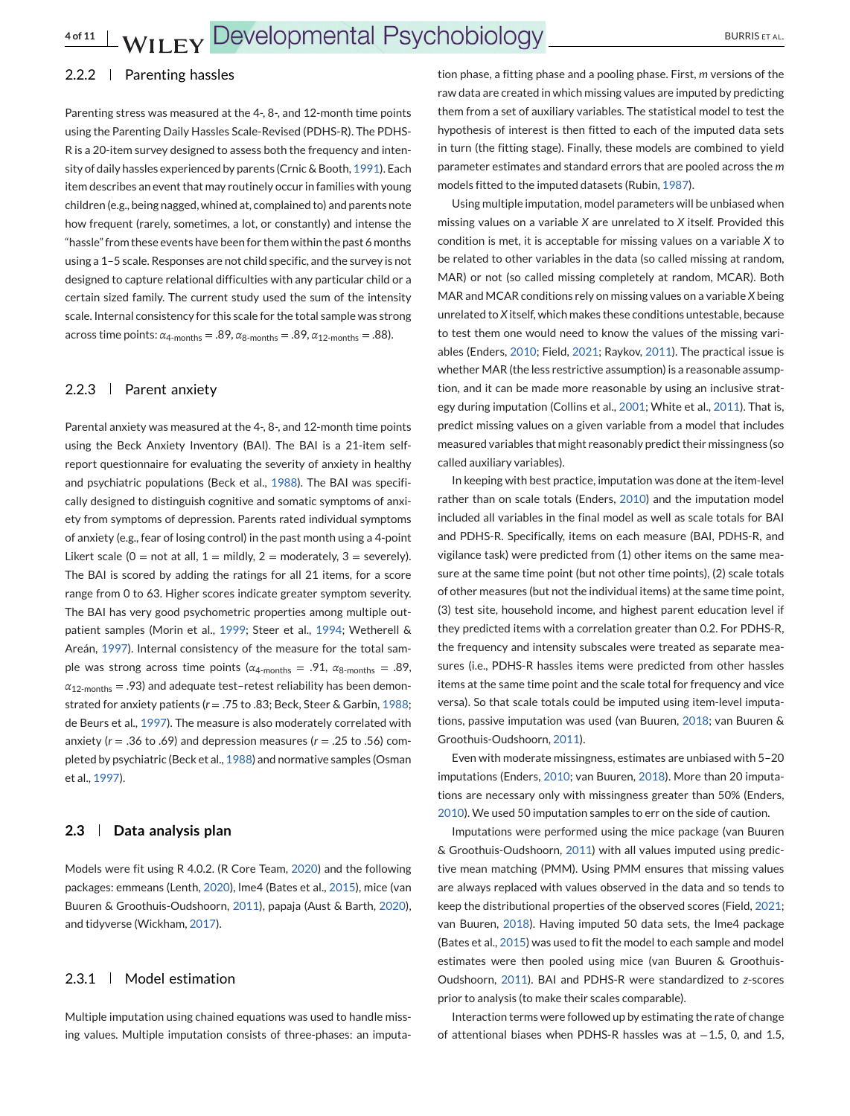#### 2.2.2 | Parenting hassles

Parenting stress was measured at the 4-, 8-, and 12-month time points using the Parenting Daily Hassles Scale-Revised (PDHS-R). The PDHS-R is a 20-item survey designed to assess both the frequency and intensity of daily hassles experienced by parents (Crnic & Booth, [1991\)](#page-9-0). Each item describes an event that may routinely occur in families with young children (e.g., being nagged, whined at, complained to) and parents note how frequent (rarely, sometimes, a lot, or constantly) and intense the "hassle" from these events have been for them within the past 6 months using a 1–5 scale. Responses are not child specific, and the survey is not designed to capture relational difficulties with any particular child or a certain sized family. The current study used the sum of the intensity scale. Internal consistency for this scale for the total sample was strong across time points:  $α<sub>4-months</sub> = .89$ ,  $α<sub>8-months</sub> = .89$ ,  $α<sub>12-months</sub> = .88$ ).

### 2.2.3 | Parent anxiety

Parental anxiety was measured at the 4-, 8-, and 12-month time points using the Beck Anxiety Inventory (BAI). The BAI is a 21-item selfreport questionnaire for evaluating the severity of anxiety in healthy and psychiatric populations (Beck et al., [1988\)](#page-8-0). The BAI was specifically designed to distinguish cognitive and somatic symptoms of anxiety from symptoms of depression. Parents rated individual symptoms of anxiety (e.g., fear of losing control) in the past month using a 4-point Likert scale (0 = not at all,  $1 =$  mildly, 2 = moderately, 3 = severely). The BAI is scored by adding the ratings for all 21 items, for a score range from 0 to 63. Higher scores indicate greater symptom severity. The BAI has very good psychometric properties among multiple outpatient samples (Morin et al., [1999;](#page-9-0) Steer et al., [1994;](#page-9-0) Wetherell & Areán, [1997\)](#page-10-0). Internal consistency of the measure for the total sample was strong across time points ( $\alpha_{4\text{-months}} = .91$ ,  $\alpha_{8\text{-months}} = .89$ ,  $\alpha_{12\text{-months}} = .93$ ) and adequate test-retest reliability has been demonstrated for anxiety patients (*r* = .75 to .83; Beck, Steer & Garbin, [1988;](#page-8-0) de Beurs et al., [1997\)](#page-9-0). The measure is also moderately correlated with anxiety (*r* = .36 to .69) and depression measures (*r* = .25 to .56) completed by psychiatric (Beck et al., [1988\)](#page-8-0) and normative samples (Osman et al., [1997\)](#page-9-0).

#### **2.3 Data analysis plan**

Models were fit using R 4.0.2. (R Core Team, [2020\)](#page-9-0) and the following packages: emmeans (Lenth, [2020\)](#page-9-0), lme4 (Bates et al., [2015\)](#page-8-0), mice (van Buuren & Groothuis-Oudshoorn, [2011\)](#page-10-0), papaja (Aust & Barth, [2020\)](#page-8-0), and tidyverse (Wickham, [2017\)](#page-10-0).

#### 2.3.1 | Model estimation

Multiple imputation using chained equations was used to handle missing values. Multiple imputation consists of three-phases: an imputa-

tion phase, a fitting phase and a pooling phase. First, *m* versions of the raw data are created in which missing values are imputed by predicting them from a set of auxiliary variables. The statistical model to test the hypothesis of interest is then fitted to each of the imputed data sets in turn (the fitting stage). Finally, these models are combined to yield parameter estimates and standard errors that are pooled across the *m* models fitted to the imputed datasets (Rubin, [1987\)](#page-9-0).

Using multiple imputation, model parameters will be unbiased when missing values on a variable *X* are unrelated to *X* itself. Provided this condition is met, it is acceptable for missing values on a variable *X* to be related to other variables in the data (so called missing at random, MAR) or not (so called missing completely at random, MCAR). Both MAR and MCAR conditions rely on missing values on a variable *X* being unrelated to *X* itself, which makes these conditions untestable, because to test them one would need to know the values of the missing variables (Enders, [2010;](#page-9-0) Field, [2021;](#page-9-0) Raykov, [2011\)](#page-9-0). The practical issue is whether MAR (the less restrictive assumption) is a reasonable assumption, and it can be made more reasonable by using an inclusive strategy during imputation (Collins et al., [2001;](#page-9-0) White et al., [2011\)](#page-10-0). That is, predict missing values on a given variable from a model that includes measured variables that might reasonably predict their missingness (so called auxiliary variables).

In keeping with best practice, imputation was done at the item-level rather than on scale totals (Enders, [2010\)](#page-9-0) and the imputation model included all variables in the final model as well as scale totals for BAI and PDHS-R. Specifically, items on each measure (BAI, PDHS-R, and vigilance task) were predicted from (1) other items on the same measure at the same time point (but not other time points), (2) scale totals of other measures (but not the individual items) at the same time point, (3) test site, household income, and highest parent education level if they predicted items with a correlation greater than 0.2. For PDHS-R, the frequency and intensity subscales were treated as separate measures (i.e., PDHS-R hassles items were predicted from other hassles items at the same time point and the scale total for frequency and vice versa). So that scale totals could be imputed using item-level imputations, passive imputation was used (van Buuren, [2018;](#page-10-0) van Buuren & Groothuis-Oudshoorn, [2011\)](#page-10-0).

Even with moderate missingness, estimates are unbiased with 5–20 imputations (Enders, [2010;](#page-9-0) van Buuren, [2018\)](#page-10-0). More than 20 imputations are necessary only with missingness greater than 50% (Enders, [2010\)](#page-9-0). We used 50 imputation samples to err on the side of caution.

Imputations were performed using the mice package (van Buuren & Groothuis-Oudshoorn, [2011\)](#page-10-0) with all values imputed using predictive mean matching (PMM). Using PMM ensures that missing values are always replaced with values observed in the data and so tends to keep the distributional properties of the observed scores (Field, [2021;](#page-9-0) van Buuren, [2018\)](#page-10-0). Having imputed 50 data sets, the lme4 package (Bates et al., [2015\)](#page-8-0) was used to fit the model to each sample and model estimates were then pooled using mice (van Buuren & Groothuis-Oudshoorn, [2011\)](#page-10-0). BAI and PDHS-R were standardized to *z*-scores prior to analysis (to make their scales comparable).

Interaction terms were followed up by estimating the rate of change of attentional biases when PDHS-R hassles was at −1.5, 0, and 1.5,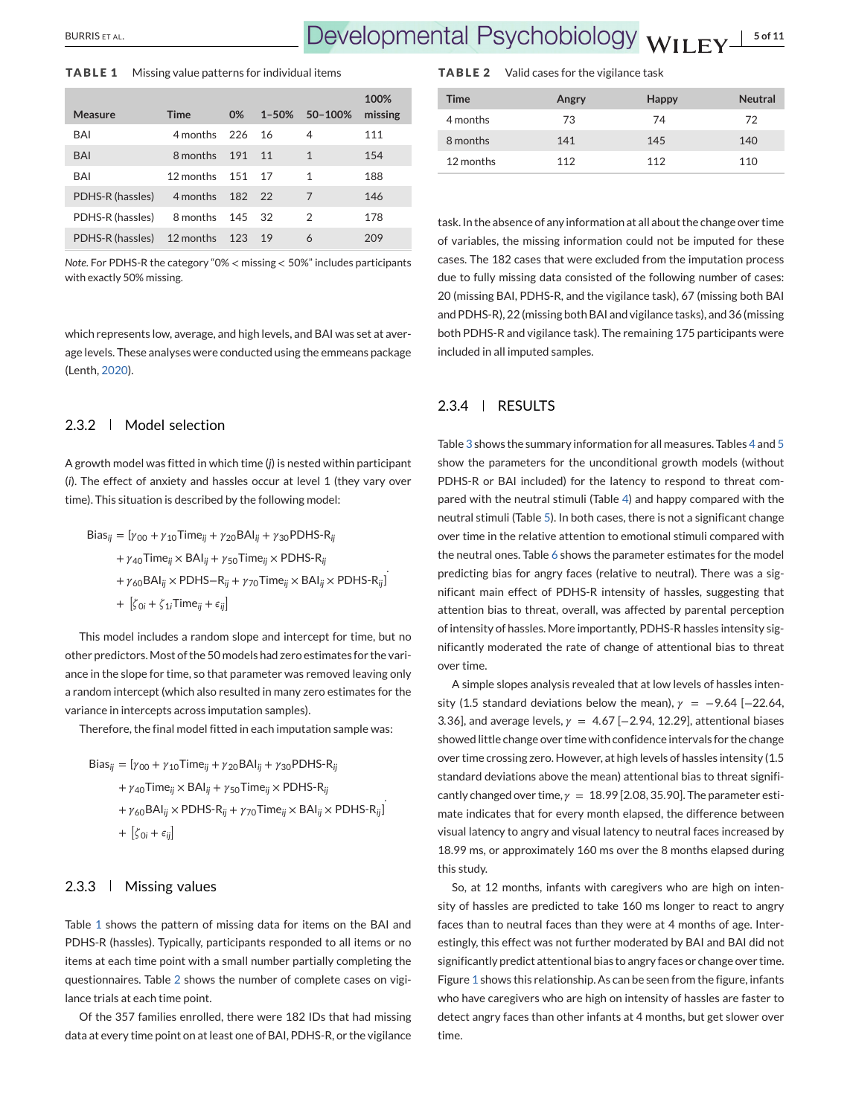## <span id="page-4-0"></span>**TABLE 1** Missing value patterns for individual items

| Measure          | <b>Time</b>  | 0%     | $1 - 50%$ | $50 - 100%$ | 100%<br>missing |
|------------------|--------------|--------|-----------|-------------|-----------------|
| BAI              | 4 months 226 |        | 16        | 4           | 111             |
| BAI              | 8 months     | 191    | 11        | 1           | 154             |
| BAI              | 12 months    | 151    | 17        | 1           | 188             |
| PDHS-R (hassles) | 4 months     | 182 22 |           | 7           | 146             |
| PDHS-R (hassles) | 8 months     | 145    | 32        | 2           | 178             |
| PDHS-R (hassles) | 12 months    | 123    | 19        | 6           | 209             |

*Note*. For PDHS-R the category "0% < missing < 50%" includes participants with exactly 50% missing.

which represents low, average, and high levels, and BAI was set at average levels. These analyses were conducted using the emmeans package (Lenth, [2020\)](#page-9-0).

#### 2.3.2 | Model selection

A growth model was fitted in which time (*j*) is nested within participant (*i*). The effect of anxiety and hassles occur at level 1 (they vary over time). This situation is described by the following model:

Bias<sub>ij</sub> = [
$$
\gamma_{00} + \gamma_{10}
$$
Time<sub>ij</sub> +  $\gamma_{20}$ BAI<sub>ij</sub> +  $\gamma_{30}$ PDHS-R<sub>ij</sub>  
+  $\gamma_{40}$ Time<sub>ij</sub> × BAI<sub>ij</sub> +  $\gamma_{50}$ Time<sub>ij</sub> × PDHS-R<sub>ij</sub>  
+  $\gamma_{60}$ BAI<sub>ij</sub> × PDHS-R<sub>ij</sub> +  $\gamma_{70}$ Time<sub>ij</sub> × BAI<sub>ij</sub> × PDHS-R<sub>ij</sub>]  
+ [ $\zeta_{0i}$  +  $\zeta_{1i}$ Time<sub>ij</sub> +  $\epsilon_{ij}$ ]

This model includes a random slope and intercept for time, but no other predictors.Most of the 50 models had zero estimates for the variance in the slope for time, so that parameter was removed leaving only a random intercept (which also resulted in many zero estimates for the variance in intercepts across imputation samples).

Therefore, the final model fitted in each imputation sample was:

Bias<sub>ij</sub> = [
$$
\gamma_{00} + \gamma_{10}
$$
Time<sub>ij</sub> +  $\gamma_{20}$ BAI<sub>ij</sub> +  $\gamma_{30}$ PDHS-R<sub>ij</sub>  
+  $\gamma_{40}$ Time<sub>ij</sub> × BAI<sub>ij</sub> +  $\gamma_{50}$ Time<sub>ij</sub> × PDHS-R<sub>ij</sub>  
+  $\gamma_{60}$ BAI<sub>ij</sub> × PDHS-R<sub>ij</sub> +  $\gamma_{70}$ Time<sub>ij</sub> × BAI<sub>ij</sub> × PDHS-R<sub>ij</sub>]  
+ [ $\zeta_{0i} + \epsilon_{ij}$ ]

### 2.3.3 | Missing values

Table 1 shows the pattern of missing data for items on the BAI and PDHS-R (hassles). Typically, participants responded to all items or no items at each time point with a small number partially completing the questionnaires. Table 2 shows the number of complete cases on vigilance trials at each time point.

Of the 357 families enrolled, there were 182 IDs that had missing data at every time point on at least one of BAI, PDHS-R, or the vigilance

### **TABLE 2** Valid cases for the vigilance task

| <b>Time</b> | Angry | <b>Happy</b> | <b>Neutral</b> |
|-------------|-------|--------------|----------------|
| 4 months    | 73    | 74           | 72             |
| 8 months    | 141   | 145          | 140            |
| 12 months   | 112   | 112          | 110            |

task. In the absence of any information at all about the change over time of variables, the missing information could not be imputed for these cases. The 182 cases that were excluded from the imputation process due to fully missing data consisted of the following number of cases: 20 (missing BAI, PDHS-R, and the vigilance task), 67 (missing both BAI and PDHS-R), 22 (missing both BAI and vigilance tasks), and 36 (missing both PDHS-R and vigilance task). The remaining 175 participants were included in all imputed samples.

### 2.3.4 | RESULTS

.

Table [3](#page-5-0) shows the summary information for all measures. Tables [4](#page-5-0) and [5](#page-5-0) show the parameters for the unconditional growth models (without PDHS-R or BAI included) for the latency to respond to threat compared with the neutral stimuli (Table [4\)](#page-5-0) and happy compared with the neutral stimuli (Table [5\)](#page-5-0). In both cases, there is not a significant change over time in the relative attention to emotional stimuli compared with the neutral ones. Table [6](#page-5-0) shows the parameter estimates for the model predicting bias for angry faces (relative to neutral). There was a significant main effect of PDHS-R intensity of hassles, suggesting that attention bias to threat, overall, was affected by parental perception of intensity of hassles. More importantly, PDHS-R hassles intensity significantly moderated the rate of change of attentional bias to threat over time.

A simple slopes analysis revealed that at low levels of hassles intensity (1.5 standard deviations below the mean),  $\gamma = -9.64$  [-22.64, 3.36], and average levels,  $\gamma = 4.67$  [-2.94, 12.29], attentional biases showed little change over time with confidence intervals for the change over time crossing zero. However, at high levels of hassles intensity (1.5 standard deviations above the mean) attentional bias to threat significantly changed over time,  $\gamma = 18.99$  [2.08, 35.90]. The parameter estimate indicates that for every month elapsed, the difference between visual latency to angry and visual latency to neutral faces increased by 18.99 ms, or approximately 160 ms over the 8 months elapsed during this study.

So, at 12 months, infants with caregivers who are high on intensity of hassles are predicted to take 160 ms longer to react to angry faces than to neutral faces than they were at 4 months of age. Interestingly, this effect was not further moderated by BAI and BAI did not significantly predict attentional bias to angry faces or change over time. Figure [1](#page-6-0) shows this relationship. As can be seen from the figure, infants who have caregivers who are high on intensity of hassles are faster to detect angry faces than other infants at 4 months, but get slower over time.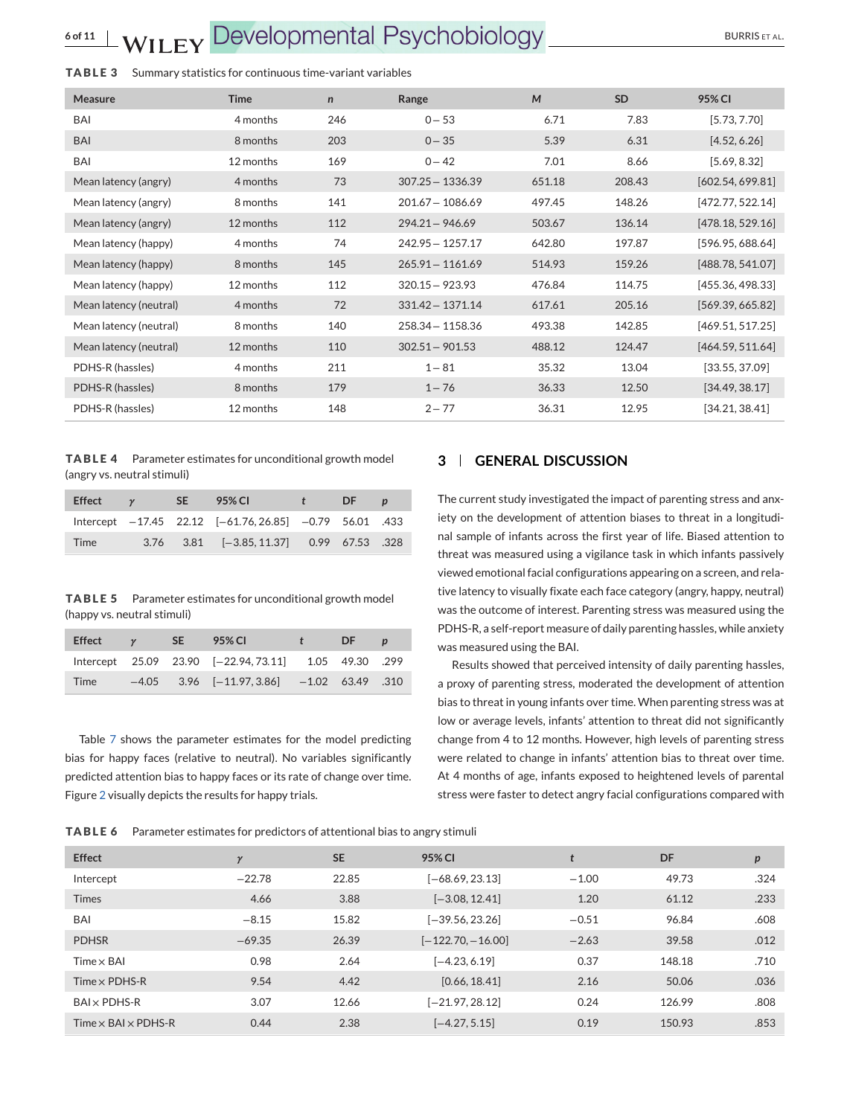## <span id="page-5-0"></span>**6 of 11** BURRIS ET AL.

| Measure                | <b>Time</b> | $\mathsf{n}$ | Range              | M      | <b>SD</b> | 95% CI           |
|------------------------|-------------|--------------|--------------------|--------|-----------|------------------|
| BAI                    | 4 months    | 246          | $0 - 53$           | 6.71   | 7.83      | [5.73, 7.70]     |
| <b>BAI</b>             | 8 months    | 203          | $0 - 35$           | 5.39   | 6.31      | [4.52, 6.26]     |
| BAI                    | 12 months   | 169          | $0 - 42$           | 7.01   | 8.66      | [5.69, 8.32]     |
| Mean latency (angry)   | 4 months    | 73           | $307.25 - 1336.39$ | 651.18 | 208.43    | [602.54, 699.81] |
| Mean latency (angry)   | 8 months    | 141          | $201.67 - 1086.69$ | 497.45 | 148.26    | [472.77, 522.14] |
| Mean latency (angry)   | 12 months   | 112          | $294.21 - 946.69$  | 503.67 | 136.14    | [478.18, 529.16] |
| Mean latency (happy)   | 4 months    | 74           | $242.95 - 1257.17$ | 642.80 | 197.87    | [596.95, 688.64] |
| Mean latency (happy)   | 8 months    | 145          | $265.91 - 1161.69$ | 514.93 | 159.26    | [488.78, 541.07] |
| Mean latency (happy)   | 12 months   | 112          | $320.15 - 923.93$  | 476.84 | 114.75    | [455.36, 498.33] |
| Mean latency (neutral) | 4 months    | 72           | $331.42 - 1371.14$ | 617.61 | 205.16    | [569.39, 665.82] |
| Mean latency (neutral) | 8 months    | 140          | $258.34 - 1158.36$ | 493.38 | 142.85    | [469.51, 517.25] |
| Mean latency (neutral) | 12 months   | 110          | $302.51 - 901.53$  | 488.12 | 124.47    | [464.59, 511.64] |
| PDHS-R (hassles)       | 4 months    | 211          | $1 - 81$           | 35.32  | 13.04     | [33.55, 37.09]   |
| PDHS-R (hassles)       | 8 months    | 179          | $1 - 76$           | 36.33  | 12.50     | [34.49, 38.17]   |
| PDHS-R (hassles)       | 12 months   | 148          | $2 - 77$           | 36.31  | 12.95     | [34.21, 38.41]   |

**TABLE 4** Parameter estimates for unconditional growth model (angry vs. neutral stimuli)

| <b>Effect</b> | $\gamma$ SE | 95% CI                                                  | $\mathbf{r}$ | DE | $\boldsymbol{p}$ |
|---------------|-------------|---------------------------------------------------------|--------------|----|------------------|
|               |             | lntercept -17.45 22.12 [-61.76, 26.85] -0.79 56.01 .433 |              |    |                  |
| Time          |             |                                                         |              |    |                  |

**TABLE 5** Parameter estimates for unconditional growth model (happy vs. neutral stimuli)

| <b>Effect</b> | $\gamma$ | SE | 95% CI                                                | $+$ | <b>DF</b> |  |
|---------------|----------|----|-------------------------------------------------------|-----|-----------|--|
|               |          |    | lntercept 25.09 23.90 [-22.94, 73.11] 1.05 49.30 .299 |     |           |  |
| Time          |          |    | $-4.05$ 3.96 $[-11.97, 3.86]$ $-1.02$ 63.49 .310      |     |           |  |

Table [7](#page-7-0) shows the parameter estimates for the model predicting bias for happy faces (relative to neutral). No variables significantly predicted attention bias to happy faces or its rate of change over time. Figure [2](#page-7-0) visually depicts the results for happy trials.

## **3 GENERAL DISCUSSION**

The current study investigated the impact of parenting stress and anxiety on the development of attention biases to threat in a longitudinal sample of infants across the first year of life. Biased attention to threat was measured using a vigilance task in which infants passively viewed emotional facial configurations appearing on a screen, and relative latency to visually fixate each face category (angry, happy, neutral) was the outcome of interest. Parenting stress was measured using the PDHS-R, a self-report measure of daily parenting hassles, while anxiety was measured using the BAI.

Results showed that perceived intensity of daily parenting hassles, a proxy of parenting stress, moderated the development of attention bias to threat in young infants over time. When parenting stress was at low or average levels, infants' attention to threat did not significantly change from 4 to 12 months. However, high levels of parenting stress were related to change in infants' attention bias to threat over time. At 4 months of age, infants exposed to heightened levels of parental stress were faster to detect angry facial configurations compared with

**TABLE 6** Parameter estimates for predictors of attentional bias to angry stimuli

| <b>Effect</b>                     | $\gamma$ | <b>SE</b> | 95% CI              |         | DF     | $\boldsymbol{p}$ |
|-----------------------------------|----------|-----------|---------------------|---------|--------|------------------|
| Intercept                         | $-22.78$ | 22.85     | $[-68.69, 23.13]$   | $-1.00$ | 49.73  | .324             |
| <b>Times</b>                      | 4.66     | 3.88      | $[-3.08, 12.41]$    | 1.20    | 61.12  | .233             |
| BAI                               | $-8.15$  | 15.82     | $[-39.56, 23.26]$   | $-0.51$ | 96.84  | .608             |
| <b>PDHSR</b>                      | $-69.35$ | 26.39     | $[-122.70, -16.00]$ | $-2.63$ | 39.58  | .012             |
| $Time \times BAI$                 | 0.98     | 2.64      | $[-4.23, 6.19]$     | 0.37    | 148.18 | .710             |
| Time $\times$ PDHS-R              | 9.54     | 4.42      | [0.66, 18.41]       | 2.16    | 50.06  | .036             |
| $BAI \times PDHS-R$               | 3.07     | 12.66     | $[-21.97, 28.12]$   | 0.24    | 126.99 | .808             |
| Time $\times$ BAI $\times$ PDHS-R | 0.44     | 2.38      | $[-4.27, 5.15]$     | 0.19    | 150.93 | .853             |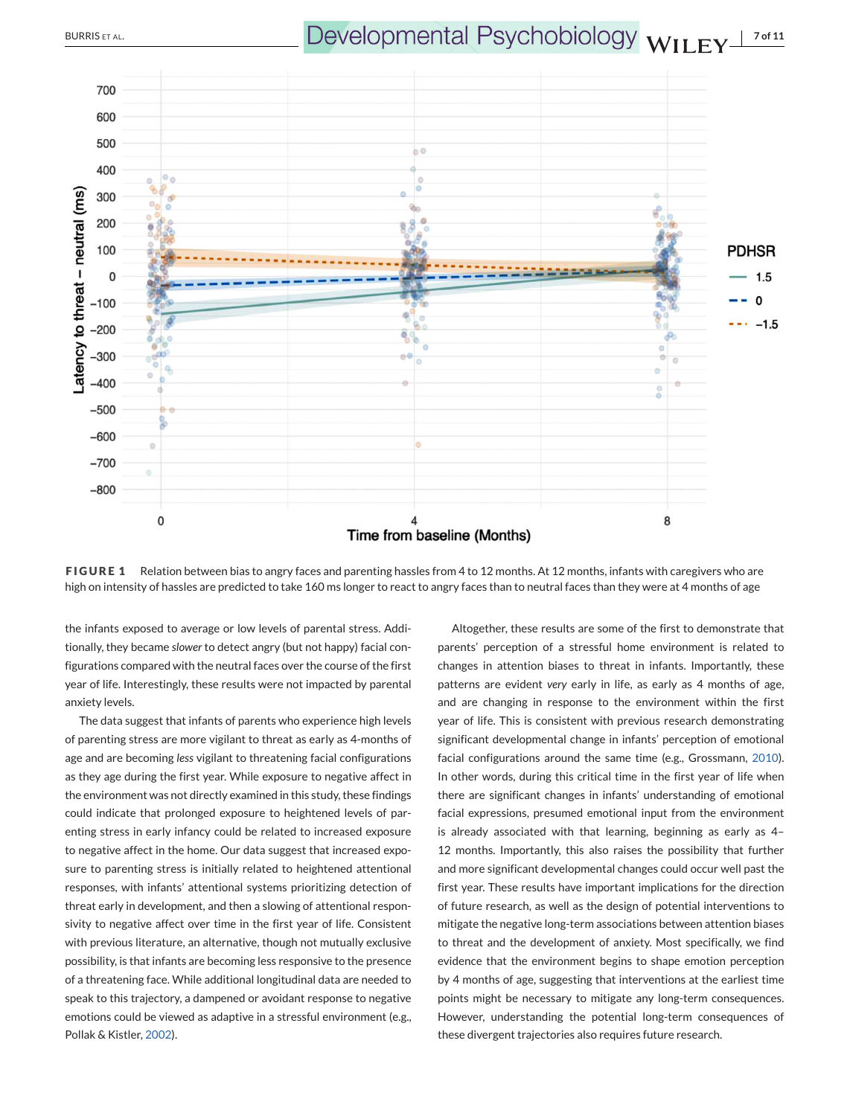<span id="page-6-0"></span>BURRIS ET AL. *DEVelopmental Psychobiology* WILEY<sup>170f11</sup>



FIGURE 1 Relation between bias to angry faces and parenting hassles from 4 to 12 months. At 12 months, infants with caregivers who are high on intensity of hassles are predicted to take 160 ms longer to react to angry faces than to neutral faces than they were at 4 months of age

the infants exposed to average or low levels of parental stress. Additionally, they became *slower* to detect angry (but not happy) facial configurations compared with the neutral faces over the course of the first year of life. Interestingly, these results were not impacted by parental anxiety levels.

The data suggest that infants of parents who experience high levels of parenting stress are more vigilant to threat as early as 4-months of age and are becoming *less* vigilant to threatening facial configurations as they age during the first year. While exposure to negative affect in the environment was not directly examined in this study, these findings could indicate that prolonged exposure to heightened levels of parenting stress in early infancy could be related to increased exposure to negative affect in the home. Our data suggest that increased exposure to parenting stress is initially related to heightened attentional responses, with infants' attentional systems prioritizing detection of threat early in development, and then a slowing of attentional responsivity to negative affect over time in the first year of life. Consistent with previous literature, an alternative, though not mutually exclusive possibility, is that infants are becoming less responsive to the presence of a threatening face. While additional longitudinal data are needed to speak to this trajectory, a dampened or avoidant response to negative emotions could be viewed as adaptive in a stressful environment (e.g., Pollak & Kistler, [2002\)](#page-9-0).

Altogether, these results are some of the first to demonstrate that parents' perception of a stressful home environment is related to changes in attention biases to threat in infants. Importantly, these patterns are evident *very* early in life, as early as 4 months of age, and are changing in response to the environment within the first year of life. This is consistent with previous research demonstrating significant developmental change in infants' perception of emotional facial configurations around the same time (e.g., Grossmann, [2010\)](#page-9-0). In other words, during this critical time in the first year of life when there are significant changes in infants' understanding of emotional facial expressions, presumed emotional input from the environment is already associated with that learning, beginning as early as 4– 12 months. Importantly, this also raises the possibility that further and more significant developmental changes could occur well past the first year. These results have important implications for the direction of future research, as well as the design of potential interventions to mitigate the negative long-term associations between attention biases to threat and the development of anxiety. Most specifically, we find evidence that the environment begins to shape emotion perception by 4 months of age, suggesting that interventions at the earliest time points might be necessary to mitigate any long-term consequences. However, understanding the potential long-term consequences of these divergent trajectories also requires future research.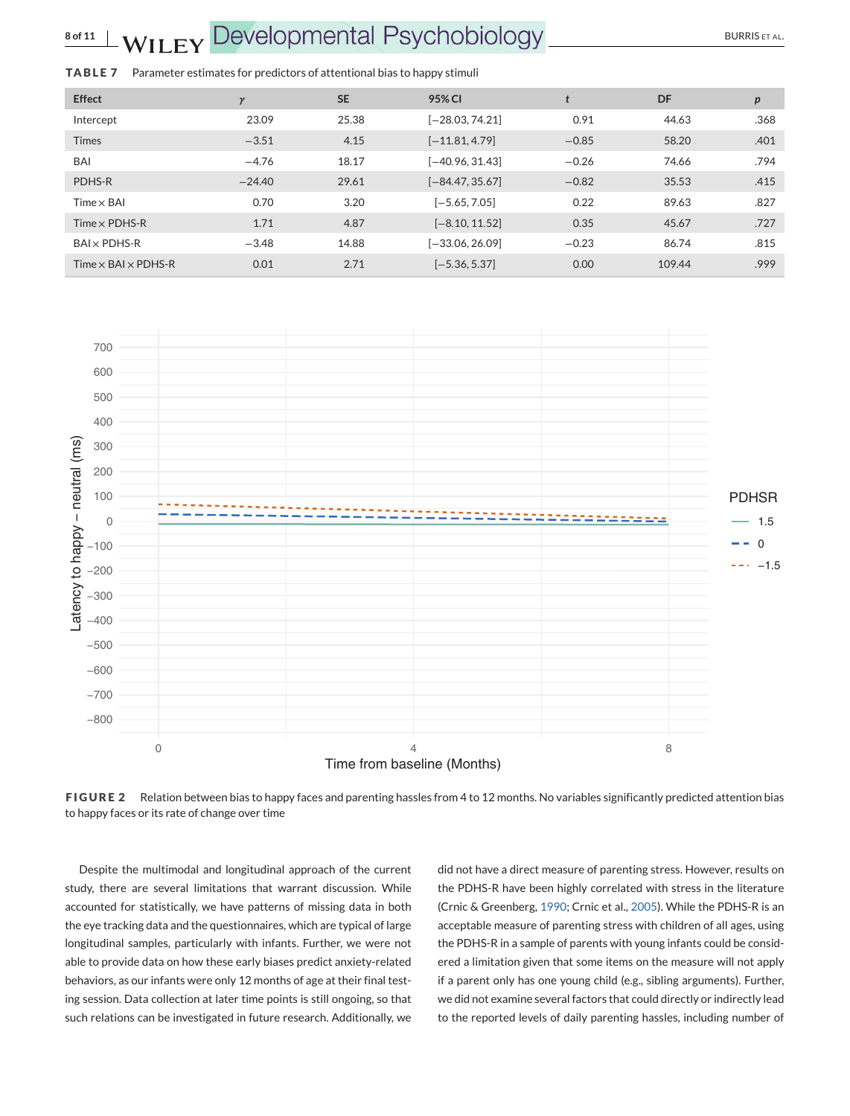## <span id="page-7-0"></span>**8 of 11 | WII FY Developmental Psychobiology Manual Act AL.** BURRIS ET AL.

#### **TABLE 7** Parameter estimates for predictors of attentional bias to happy stimuli

| <b>Effect</b>                     | $\gamma$ | <b>SE</b> | 95% CI            | t       | DF     | p    |
|-----------------------------------|----------|-----------|-------------------|---------|--------|------|
| Intercept                         | 23.09    | 25.38     | $[-28.03, 74.21]$ | 0.91    | 44.63  | .368 |
| <b>Times</b>                      | $-3.51$  | 4.15      | $[-11.81, 4.79]$  | $-0.85$ | 58.20  | .401 |
| BAI                               | $-4.76$  | 18.17     | $[-40.96, 31.43]$ | $-0.26$ | 74.66  | .794 |
| PDHS-R                            | $-24.40$ | 29.61     | $[-84.47, 35.67]$ | $-0.82$ | 35.53  | .415 |
| $Time \times BAI$                 | 0.70     | 3.20      | $[-5.65, 7.05]$   | 0.22    | 89.63  | .827 |
| Time $\times$ PDHS-R              | 1.71     | 4.87      | $[-8.10, 11.52]$  | 0.35    | 45.67  | .727 |
| $BAI \times PDHS-R$               | $-3.48$  | 14.88     | $[-33.06, 26.09]$ | $-0.23$ | 86.74  | .815 |
| Time $\times$ BAI $\times$ PDHS-R | 0.01     | 2.71      | $[-5.36, 5.37]$   | 0.00    | 109.44 | .999 |



**FIGURE 2** Relation between bias to happy faces and parenting hassles from 4 to 12 months. No variables significantly predicted attention bias to happy faces or its rate of change over time

Despite the multimodal and longitudinal approach of the current study, there are several limitations that warrant discussion. While accounted for statistically, we have patterns of missing data in both the eye tracking data and the questionnaires, which are typical of large longitudinal samples, particularly with infants. Further, we were not able to provide data on how these early biases predict anxiety-related behaviors, as our infants were only 12 months of age at their final testing session. Data collection at later time points is still ongoing, so that such relations can be investigated in future research. Additionally, we

did not have a direct measure of parenting stress. However, results on the PDHS-R have been highly correlated with stress in the literature (Crnic & Greenberg, [1990;](#page-9-0) Crnic et al., [2005\)](#page-9-0). While the PDHS-R is an acceptable measure of parenting stress with children of all ages, using the PDHS-R in a sample of parents with young infants could be considered a limitation given that some items on the measure will not apply if a parent only has one young child (e.g., sibling arguments). Further, we did not examine several factors that could directly or indirectly lead to the reported levels of daily parenting hassles, including number of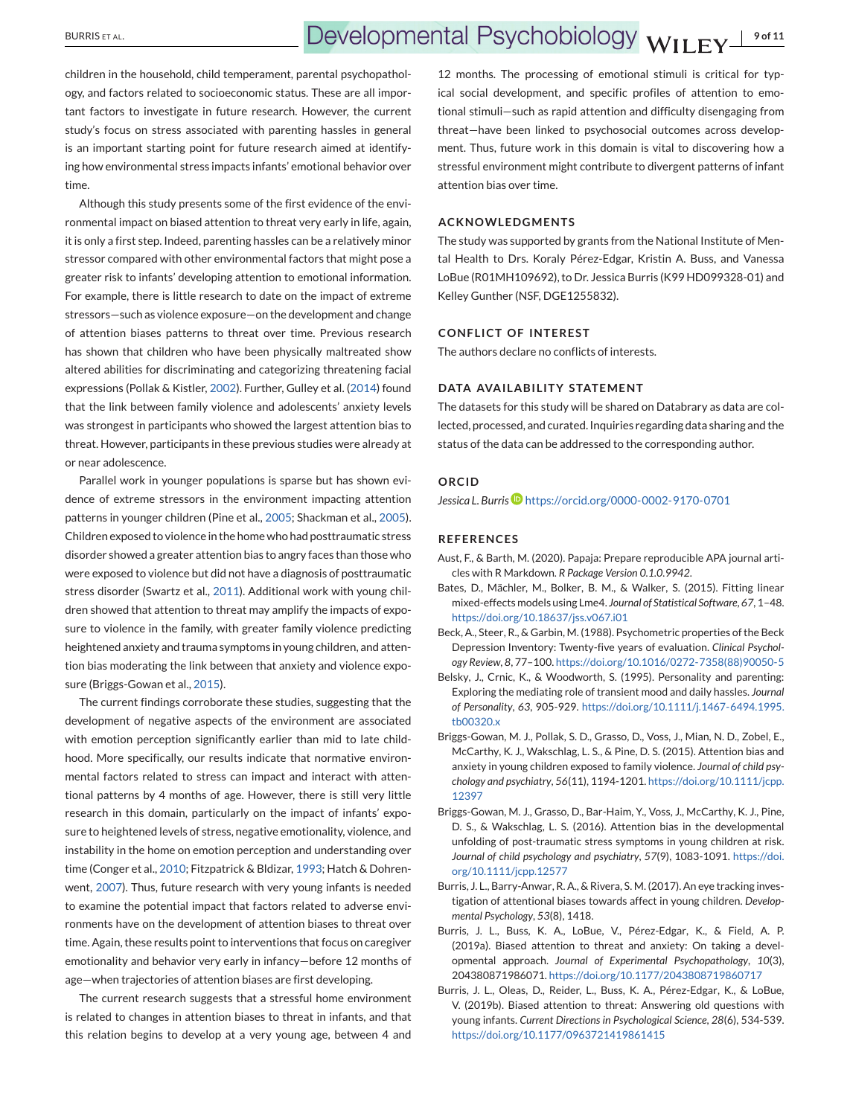<span id="page-8-0"></span>children in the household, child temperament, parental psychopathology, and factors related to socioeconomic status. These are all important factors to investigate in future research. However, the current study's focus on stress associated with parenting hassles in general is an important starting point for future research aimed at identifying how environmental stress impacts infants' emotional behavior over time.

Although this study presents some of the first evidence of the environmental impact on biased attention to threat very early in life, again, it is only a first step. Indeed, parenting hassles can be a relatively minor stressor compared with other environmental factors that might pose a greater risk to infants' developing attention to emotional information. For example, there is little research to date on the impact of extreme stressors—such as violence exposure—on the development and change of attention biases patterns to threat over time. Previous research has shown that children who have been physically maltreated show altered abilities for discriminating and categorizing threatening facial expressions (Pollak & Kistler, [2002\)](#page-9-0). Further, Gulley et al. [\(2014\)](#page-9-0) found that the link between family violence and adolescents' anxiety levels was strongest in participants who showed the largest attention bias to threat. However, participants in these previous studies were already at or near adolescence.

Parallel work in younger populations is sparse but has shown evidence of extreme stressors in the environment impacting attention patterns in younger children (Pine et al., [2005;](#page-9-0) Shackman et al., [2005\)](#page-9-0). Children exposed to violence in the home who had posttraumatic stress disorder showed a greater attention bias to angry faces than those who were exposed to violence but did not have a diagnosis of posttraumatic stress disorder (Swartz et al., [2011\)](#page-9-0). Additional work with young children showed that attention to threat may amplify the impacts of exposure to violence in the family, with greater family violence predicting heightened anxiety and trauma symptoms in young children, and attention bias moderating the link between that anxiety and violence exposure (Briggs-Gowan et al., 2015).

The current findings corroborate these studies, suggesting that the development of negative aspects of the environment are associated with emotion perception significantly earlier than mid to late childhood. More specifically, our results indicate that normative environmental factors related to stress can impact and interact with attentional patterns by 4 months of age. However, there is still very little research in this domain, particularly on the impact of infants' exposure to heightened levels of stress, negative emotionality, violence, and instability in the home on emotion perception and understanding over time (Conger et al., [2010;](#page-9-0) Fitzpatrick & Bldizar, [1993;](#page-9-0) Hatch & Dohrenwent, [2007\)](#page-9-0). Thus, future research with very young infants is needed to examine the potential impact that factors related to adverse environments have on the development of attention biases to threat over time. Again, these results point to interventions that focus on caregiver emotionality and behavior very early in infancy—before 12 months of age—when trajectories of attention biases are first developing.

The current research suggests that a stressful home environment is related to changes in attention biases to threat in infants, and that this relation begins to develop at a very young age, between 4 and

12 months. The processing of emotional stimuli is critical for typical social development, and specific profiles of attention to emotional stimuli—such as rapid attention and difficulty disengaging from threat—have been linked to psychosocial outcomes across development. Thus, future work in this domain is vital to discovering how a stressful environment might contribute to divergent patterns of infant attention bias over time.

#### **ACKNOWLEDGMENTS**

The study was supported by grants from the National Institute of Mental Health to Drs. Koraly Pérez-Edgar, Kristin A. Buss, and Vanessa LoBue (R01MH109692), to Dr. Jessica Burris (K99 HD099328-01) and Kelley Gunther (NSF, DGE1255832).

#### **CONFLICT OF INTEREST**

The authors declare no conflicts of interests.

#### **DATA AVAILABILITY STATEMENT**

The datasets for this study will be shared on Databrary as data are collected, processed, and curated. Inquiries regarding data sharing and the status of the data can be addressed to the corresponding author.

#### **ORCID**

*Jessica L. Burris* <https://orcid.org/0000-0002-9170-0701>

#### **REFERENCES**

- Aust, F., & Barth, M. (2020). Papaja: Prepare reproducible APA journal articles with R Markdown. *R Package Version 0.1.0.9942*.
- Bates, D., Mächler, M., Bolker, B. M., & Walker, S. (2015). Fitting linear mixed-effects models using Lme4. *Journal of Statistical Software*, *67*, 1–48. <https://doi.org/10.18637/jss.v067.i01>
- Beck, A., Steer, R., & Garbin, M. (1988). Psychometric properties of the Beck Depression Inventory: Twenty-five years of evaluation. *Clinical Psychology Review*, *8*, 77–100. [https://doi.org/10.1016/0272-7358\(88\)90050-5](https://doi.org/10.1016/0272-7358(88)90050-5)
- Belsky, J., Crnic, K., & Woodworth, S. (1995). Personality and parenting: Exploring the mediating role of transient mood and daily hassles. *Journal of Personality*, *63*, 905-929. [https://doi.org/10.1111/j.1467-6494.1995.](https://doi.org/10.1111/j.1467-6494.1995.tb00320.x) [tb00320.x](https://doi.org/10.1111/j.1467-6494.1995.tb00320.x)
- Briggs-Gowan, M. J., Pollak, S. D., Grasso, D., Voss, J., Mian, N. D., Zobel, E., McCarthy, K. J., Wakschlag, L. S., & Pine, D. S. (2015). Attention bias and anxiety in young children exposed to family violence. *Journal of child psychology and psychiatry*, *56*(11), 1194-1201. [https://doi.org/10.1111/jcpp.](https://doi.org/10.1111/jcpp.12397) [12397](https://doi.org/10.1111/jcpp.12397)
- Briggs-Gowan, M. J., Grasso, D., Bar-Haim, Y., Voss, J., McCarthy, K. J., Pine, D. S., & Wakschlag, L. S. (2016). Attention bias in the developmental unfolding of post-traumatic stress symptoms in young children at risk. *Journal of child psychology and psychiatry*, *57*(9), 1083-1091. [https://doi.](https://doi.org/10.1111/jcpp.12577) [org/10.1111/jcpp.12577](https://doi.org/10.1111/jcpp.12577)
- Burris, J. L., Barry-Anwar, R. A., & Rivera, S. M. (2017). An eye tracking investigation of attentional biases towards affect in young children. *Developmental Psychology*, *53*(8), 1418.
- Burris, J. L., Buss, K. A., LoBue, V., Pérez-Edgar, K., & Field, A. P. (2019a). Biased attention to threat and anxiety: On taking a developmental approach. *Journal of Experimental Psychopathology*, *10*(3), 204380871986071. <https://doi.org/10.1177/2043808719860717>
- Burris, J. L., Oleas, D., Reider, L., Buss, K. A., Pérez-Edgar, K., & LoBue, V. (2019b). Biased attention to threat: Answering old questions with young infants. *Current Directions in Psychological Science*, *28*(6), 534-539. <https://doi.org/10.1177/0963721419861415>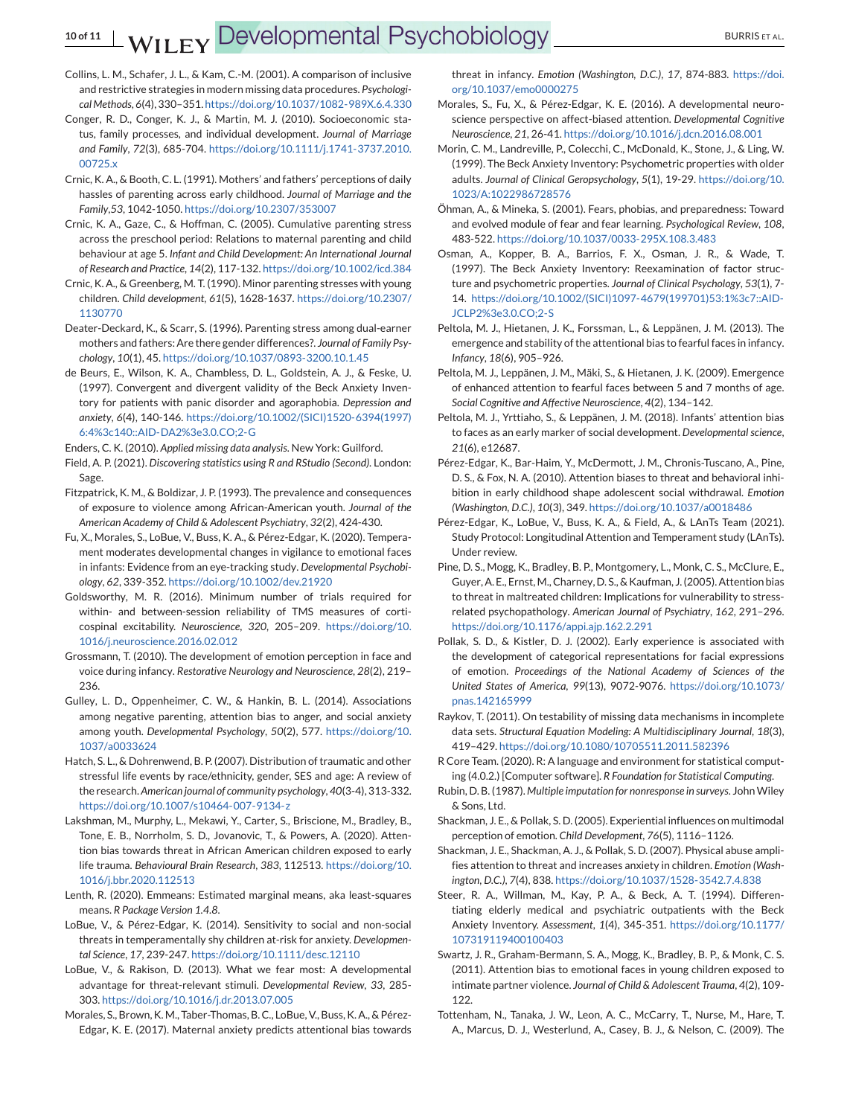## <span id="page-9-0"></span>**10 of 11 | WII FY Developmental Psychobiology** BURRIS ET AL.

- Collins, L. M., Schafer, J. L., & Kam, C.-M. (2001). A comparison of inclusive and restrictive strategies in modern missing data procedures. *Psychological Methods*, *6*(4), 330–351. <https://doi.org/10.1037/1082-989X.6.4.330>
- Conger, R. D., Conger, K. J., & Martin, M. J. (2010). Socioeconomic status, family processes, and individual development. *Journal of Marriage and Family*, *72*(3), 685-704. [https://doi.org/10.1111/j.1741-3737.2010.](https://doi.org/10.1111/j.1741-3737.2010.00725.x) [00725.x](https://doi.org/10.1111/j.1741-3737.2010.00725.x)
- Crnic, K. A., & Booth, C. L. (1991). Mothers' and fathers' perceptions of daily hassles of parenting across early childhood. *Journal of Marriage and the Family*,*53*, 1042-1050. <https://doi.org/10.2307/353007>
- Crnic, K. A., Gaze, C., & Hoffman, C. (2005). Cumulative parenting stress across the preschool period: Relations to maternal parenting and child behaviour at age 5. *Infant and Child Development: An International Journal of Research and Practice*, *14*(2), 117-132. <https://doi.org/10.1002/icd.384>
- Crnic, K. A., & Greenberg, M. T. (1990). Minor parenting stresses with young children. *Child development*, *61*(5), 1628-1637. [https://doi.org/10.2307/](https://doi.org/10.2307/1130770) [1130770](https://doi.org/10.2307/1130770)
- Deater-Deckard, K., & Scarr, S. (1996). Parenting stress among dual-earner mothers and fathers: Are there gender differences?. *Journal of Family Psychology*, *10*(1), 45. <https://doi.org/10.1037/0893-3200.10.1.45>
- de Beurs, E., Wilson, K. A., Chambless, D. L., Goldstein, A. J., & Feske, U. (1997). Convergent and divergent validity of the Beck Anxiety Inventory for patients with panic disorder and agoraphobia. *Depression and anxiety*, *6*(4), 140-146. [https://doi.org/10.1002/\(SICI\)1520-6394\(1997\)](https://doi.org/10.1002/(SICI)1520-6394(1997)6:4%3c140::AID-DA2%3e3.0.CO;2-G) [6:4%3c140::AID-DA2%3e3.0.CO;2-G](https://doi.org/10.1002/(SICI)1520-6394(1997)6:4%3c140::AID-DA2%3e3.0.CO;2-G)

Enders, C. K. (2010). *Applied missing data analysis*. New York: Guilford.

- Field, A. P. (2021). *Discovering statistics using R and RStudio (Second)*. London: Sage.
- Fitzpatrick, K. M., & Boldizar, J. P. (1993). The prevalence and consequences of exposure to violence among African-American youth. *Journal of the American Academy of Child & Adolescent Psychiatry*, *32*(2), 424-430.
- Fu, X., Morales, S., LoBue, V., Buss, K. A., & Pérez-Edgar, K. (2020). Temperament moderates developmental changes in vigilance to emotional faces in infants: Evidence from an eye-tracking study. *Developmental Psychobiology*, *62*, 339-352. <https://doi.org/10.1002/dev.21920>
- Goldsworthy, M. R. (2016). Minimum number of trials required for within- and between-session reliability of TMS measures of corticospinal excitability. *Neuroscience*, *320*, 205–209. [https://doi.org/10.](https://doi.org/10.1016/j.neuroscience.2016.02.012) [1016/j.neuroscience.2016.02.012](https://doi.org/10.1016/j.neuroscience.2016.02.012)
- Grossmann, T. (2010). The development of emotion perception in face and voice during infancy. *Restorative Neurology and Neuroscience*, *28*(2), 219– 236.
- Gulley, L. D., Oppenheimer, C. W., & Hankin, B. L. (2014). Associations among negative parenting, attention bias to anger, and social anxiety among youth. *Developmental Psychology*, *50*(2), 577. [https://doi.org/10.](https://doi.org/10.1037/a0033624) [1037/a0033624](https://doi.org/10.1037/a0033624)
- Hatch, S. L., & Dohrenwend, B. P. (2007). Distribution of traumatic and other stressful life events by race/ethnicity, gender, SES and age: A review of the research.*American journal of community psychology*, *40*(3-4), 313-332. <https://doi.org/10.1007/s10464-007-9134-z>
- Lakshman, M., Murphy, L., Mekawi, Y., Carter, S., Briscione, M., Bradley, B., Tone, E. B., Norrholm, S. D., Jovanovic, T., & Powers, A. (2020). Attention bias towards threat in African American children exposed to early life trauma. *Behavioural Brain Research*, *383*, 112513. [https://doi.org/10.](https://doi.org/10.1016/j.bbr.2020.112513) [1016/j.bbr.2020.112513](https://doi.org/10.1016/j.bbr.2020.112513)
- Lenth, R. (2020). Emmeans: Estimated marginal means, aka least-squares means. *R Package Version 1.4.8*.
- LoBue, V., & Pérez-Edgar, K. (2014). Sensitivity to social and non-social threats in temperamentally shy children at-risk for anxiety. *Developmental Science*, *17*, 239-247. <https://doi.org/10.1111/desc.12110>
- LoBue, V., & Rakison, D. (2013). What we fear most: A developmental advantage for threat-relevant stimuli. *Developmental Review*, *33*, 285- 303. <https://doi.org/10.1016/j.dr.2013.07.005>
- Morales, S., Brown, K. M., Taber-Thomas, B. C., LoBue, V., Buss, K. A., & Pérez-Edgar, K. E. (2017). Maternal anxiety predicts attentional bias towards

threat in infancy. *Emotion (Washington, D.C.)*, *17*, 874-883. [https://doi.](https://doi.org/10.1037/emo0000275) [org/10.1037/emo0000275](https://doi.org/10.1037/emo0000275)

- Morales, S., Fu, X., & Pérez-Edgar, K. E. (2016). A developmental neuroscience perspective on affect-biased attention. *Developmental Cognitive Neuroscience*, *21*, 26-41. <https://doi.org/10.1016/j.dcn.2016.08.001>
- Morin, C. M., Landreville, P., Colecchi, C., McDonald, K., Stone, J., & Ling, W. (1999). The Beck Anxiety Inventory: Psychometric properties with older adults. *Journal of Clinical Geropsychology*, *5*(1), 19-29. [https://doi.org/10.](https://doi.org/10.1023/A:1022986728576) [1023/A:1022986728576](https://doi.org/10.1023/A:1022986728576)
- Öhman, A., & Mineka, S. (2001). Fears, phobias, and preparedness: Toward and evolved module of fear and fear learning. *Psychological Review*, *108*, 483-522. <https://doi.org/10.1037/0033-295X.108.3.483>
- Osman, A., Kopper, B. A., Barrios, F. X., Osman, J. R., & Wade, T. (1997). The Beck Anxiety Inventory: Reexamination of factor structure and psychometric properties. *Journal of Clinical Psychology*, *53*(1), 7- 14. [https://doi.org/10.1002/\(SICI\)1097-4679\(199701\)53:1%3c7::AID-](https://doi.org/10.1002/(SICI)1097-4679(199701)53:1%3c7::AID-JCLP2%3e3.0.CO;2-S)[JCLP2%3e3.0.CO;2-S](https://doi.org/10.1002/(SICI)1097-4679(199701)53:1%3c7::AID-JCLP2%3e3.0.CO;2-S)
- Peltola, M. J., Hietanen, J. K., Forssman, L., & Leppänen, J. M. (2013). The emergence and stability of the attentional bias to fearful faces in infancy. *Infancy*, *18*(6), 905–926.
- Peltola, M. J., Leppänen, J. M., Mäki, S., & Hietanen, J. K. (2009). Emergence of enhanced attention to fearful faces between 5 and 7 months of age. *Social Cognitive and Affective Neuroscience*, *4*(2), 134–142.
- Peltola, M. J., Yrttiaho, S., & Leppänen, J. M. (2018). Infants' attention bias to faces as an early marker of social development. *Developmental science*, *21*(6), e12687.
- Pérez-Edgar, K., Bar-Haim, Y., McDermott, J. M., Chronis-Tuscano, A., Pine, D. S., & Fox, N. A. (2010). Attention biases to threat and behavioral inhibition in early childhood shape adolescent social withdrawal. *Emotion (Washington, D.C.)*, *10*(3), 349. <https://doi.org/10.1037/a0018486>
- Pérez-Edgar, K., LoBue, V., Buss, K. A., & Field, A., & LAnTs Team (2021). Study Protocol: Longitudinal Attention and Temperament study (LAnTs). Under review.
- Pine, D. S., Mogg, K., Bradley, B. P., Montgomery, L., Monk, C. S., McClure, E., Guyer, A. E., Ernst, M., Charney, D. S., & Kaufman, J. (2005). Attention bias to threat in maltreated children: Implications for vulnerability to stressrelated psychopathology. *American Journal of Psychiatry*, *162*, 291–296. <https://doi.org/10.1176/appi.ajp.162.2.291>
- Pollak, S. D., & Kistler, D. J. (2002). Early experience is associated with the development of categorical representations for facial expressions of emotion. *Proceedings of the National Academy of Sciences of the United States of America*, *99*(13), 9072-9076. [https://doi.org/10.1073/](https://doi.org/10.1073/pnas.142165999) [pnas.142165999](https://doi.org/10.1073/pnas.142165999)
- Raykov, T. (2011). On testability of missing data mechanisms in incomplete data sets. *Structural Equation Modeling: A Multidisciplinary Journal*, *18*(3), 419–429. <https://doi.org/10.1080/10705511.2011.582396>
- R Core Team. (2020). R: A language and environment for statistical computing (4.0.2.) [Computer software]. *R Foundation for Statistical Computing*.
- Rubin, D. B. (1987). *Multiple imputation for nonresponse in surveys*. JohnWiley & Sons, Ltd.
- Shackman, J. E., & Pollak, S. D. (2005). Experiential influences on multimodal perception of emotion. *Child Development*, *76*(5), 1116–1126.
- Shackman, J. E., Shackman, A. J., & Pollak, S. D. (2007). Physical abuse amplifies attention to threat and increases anxiety in children. *Emotion (Washington, D.C.)*, *7*(4), 838. <https://doi.org/10.1037/1528-3542.7.4.838>
- Steer, R. A., Willman, M., Kay, P. A., & Beck, A. T. (1994). Differentiating elderly medical and psychiatric outpatients with the Beck Anxiety Inventory. *Assessment*, *1*(4), 345-351. [https://doi.org/10.1177/](https://doi.org/10.1177/107319119400100403) [107319119400100403](https://doi.org/10.1177/107319119400100403)
- Swartz, J. R., Graham-Bermann, S. A., Mogg, K., Bradley, B. P., & Monk, C. S. (2011). Attention bias to emotional faces in young children exposed to intimate partner violence. *Journal of Child & Adolescent Trauma*, *4*(2), 109- 122.
- Tottenham, N., Tanaka, J. W., Leon, A. C., McCarry, T., Nurse, M., Hare, T. A., Marcus, D. J., Westerlund, A., Casey, B. J., & Nelson, C. (2009). The